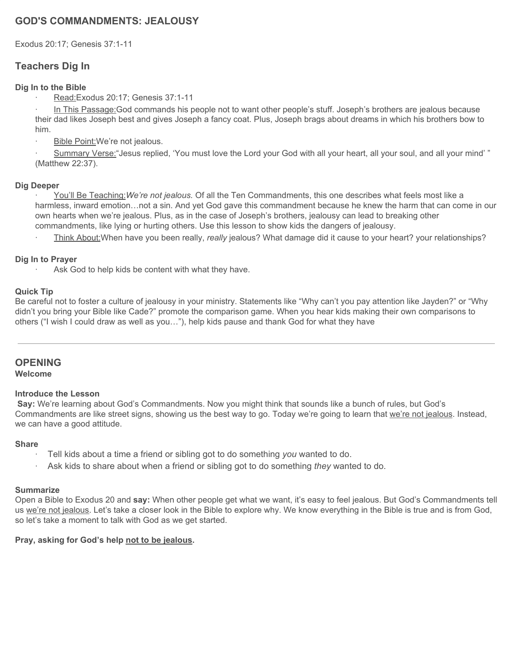# **GOD'S COMMANDMENTS: JEALOUSY**

Exodus 20:17; Genesis 37:1-11

# **Teachers Dig In**

### **Dig In to the Bible**

· Read:Exodus 20:17; Genesis 37:1-11

In This Passage:God commands his people not to want other people's stuff. Joseph's brothers are jealous because their dad likes Joseph best and gives Joseph a fancy coat. Plus, Joseph brags about dreams in which his brothers bow to him.

Bible Point: We're not jealous.

· Summary Verse:"Jesus replied, 'You must love the Lord your God with all your heart, all your soul, and all your mind' " (Matthew 22:37).

### **Dig Deeper**

· You'll Be Teaching:*We're not jealous.* Of all the Ten Commandments, this one describes what feels most like a harmless, inward emotion…not a sin. And yet God gave this commandment because he knew the harm that can come in our own hearts when we're jealous. Plus, as in the case of Joseph's brothers, jealousy can lead to breaking other commandments, like lying or hurting others. Use this lesson to show kids the dangers of jealousy.

· Think About:When have you been really, *really* jealous? What damage did it cause to your heart? your relationships?

### **Dig In to Prayer**

Ask God to help kids be content with what they have.

### **Quick Tip**

Be careful not to foster a culture of jealousy in your ministry. Statements like "Why can't you pay attention like Jayden?" or "Why didn't you bring your Bible like Cade?" promote the comparison game. When you hear kids making their own comparisons to others ("I wish I could draw as well as you…"), help kids pause and thank God for what they have

# **OPENING**

#### **Welcome**

#### **Introduce the Lesson**

**Say:** We're learning about God's Commandments. Now you might think that sounds like a bunch of rules, but God's Commandments are like street signs, showing us the best way to go. Today we're going to learn that we're not jealous. Instead, we can have a good attitude.

#### **Share**

- · Tell kids about a time a friend or sibling got to do something *you* wanted to do.
- · Ask kids to share about when a friend or sibling got to do something *they* wanted to do.

#### **Summarize**

Open a Bible to Exodus 20 and **say:** When other people get what we want, it's easy to feel jealous. But God's Commandments tell us we're not jealous. Let's take a closer look in the Bible to explore why. We know everything in the Bible is true and is from God, so let's take a moment to talk with God as we get started.

#### **Pray, asking for God's help not to be jealous.**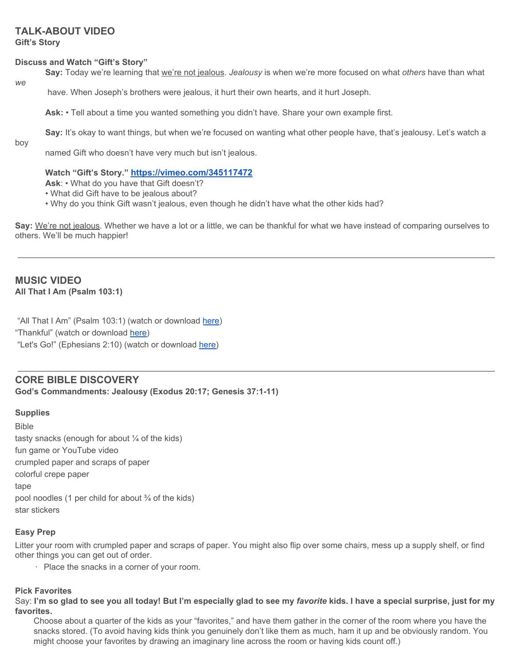# **TALK-ABOUT VIDEO**

**Gift's Story**

#### **Discuss and Watch "Gift's Story"**

**Say:** Today we're learning that we're not jealous. *Jealousy* is when we're more focused on what *others* have than what

*we*

have. When Joseph's brothers were jealous, it hurt their own hearts, and it hurt Joseph.

**Ask:** • Tell about a time you wanted something you didn't have. Share your own example first.

**Say:** It's okay to want things, but when we're focused on wanting what other people have, that's jealousy. Let's watch a

boy

named Gift who doesn't have very much but isn't jealous.

### **Watch "Gift's Story." <https://vimeo.com/345117472>**

**Ask**: • What do you have that Gift doesn't?

- What did Gift have to be jealous about?
- Why do you think Gift wasn't jealous, even though he didn't have what the other kids had?

**Say:** We're not jealous. Whether we have a lot or a little, we can be thankful for what we have instead of comparing ourselves to others. We'll be much happier!

# **MUSIC VIDEO All That I Am (Psalm 103:1)**

"All That I Am" (Psalm 103:1) (watch or download [here\)](https://vimeo.com/345113646) "Thankful" (watch or download [here\)](https://vimeo.com/345114550) "Let's Go!" (Ephesians 2:10) (watch or download [here\)](https://vimeo.com/345113936)

# **CORE BIBLE DISCOVERY**

**God's Commandments: Jealousy (Exodus 20:17; Genesis 37:1-11)**

### **Supplies**

Bible tasty snacks (enough for about  $\frac{1}{4}$  of the kids) fun game or YouTube video crumpled paper and scraps of paper colorful crepe paper tape pool noodles (1 per child for about  $\frac{3}{4}$  of the kids) star stickers

### **Easy Prep**

Litter your room with crumpled paper and scraps of paper. You might also flip over some chairs, mess up a supply shelf, or find other things you can get out of order.

· Place the snacks in a corner of your room.

#### **Pick Favorites**

Say: I'm so glad to see you all today! But I'm especially glad to see my favorite kids. I have a special surprise, just for my **favorites.**

Choose about a quarter of the kids as your "favorites," and have them gather in the corner of the room where you have the snacks stored. (To avoid having kids think you genuinely don't like them as much, ham it up and be obviously random. You might choose your favorites by drawing an imaginary line across the room or having kids count off.)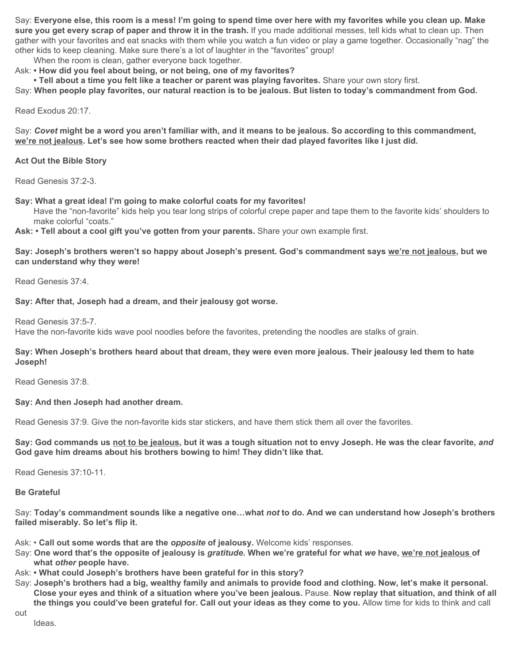Say: Everyone else, this room is a mess! I'm going to spend time over here with my favorites while you clean up. Make **sure you get every scrap of paper and throw it in the trash.** If you made additional messes, tell kids what to clean up. Then gather with your favorites and eat snacks with them while you watch a fun video or play a game together. Occasionally "nag" the other kids to keep cleaning. Make sure there's a lot of laughter in the "favorites" group!

When the room is clean, gather everyone back together.

Ask: **• How did you feel about being, or not being, one of my favorites?**

**• Tell about a time you felt like a teacher or parent was playing favorites.** Share your own story first.

Say: When people play favorites, our natural reaction is to be jealous. But listen to today's commandment from God.

Read Exodus 20:17.

Say: Covet might be a word you aren't familiar with, and it means to be jealous. So according to this commandment, we're not jealous. Let's see how some brothers reacted when their dad played favorites like I just did.

**Act Out the Bible Story**

Read Genesis 37:2-3.

**Say: What a great idea! I'm going to make colorful coats for my favorites!**

Have the "non-favorite" kids help you tear long strips of colorful crepe paper and tape them to the favorite kids' shoulders to make colorful "coats."

**Ask: • Tell about a cool gift you've gotten from your parents.** Share your own example first.

Say: Joseph's brothers weren't so happy about Joseph's present. God's commandment says we're not jealous, but we **can understand why they were!**

Read Genesis 37:4.

**Say: After that, Joseph had a dream, and their jealousy got worse.**

Read Genesis 37:5-7.

Have the non-favorite kids wave pool noodles before the favorites, pretending the noodles are stalks of grain.

#### Say: When Joseph's brothers heard about that dream, they were even more jealous. Their jealousy led them to hate **Joseph!**

Read Genesis 37:8.

#### **Say: And then Joseph had another dream.**

Read Genesis 37:9. Give the non-favorite kids star stickers, and have them stick them all over the favorites.

Say: God commands us not to be jealous, but it was a tough situation not to envy Joseph. He was the clear favorite, and **God gave him dreams about his brothers bowing to him! They didn't like that.**

Read Genesis 37:10-11.

**Be Grateful**

Say: Today's commandment sounds like a negative one...what not to do. And we can understand how Joseph's brothers **failed miserably. So let's flip it.**

Ask: • **Call out some words that are the** *opposite* **of jealousy.** Welcome kids' responses.

- Say: One word that's the opposite of jealousy is gratitude. When we're grateful for what we have, we're not jealous of **what** *other* **people have.**
- Ask: **• What could Joseph's brothers have been grateful for in this story?**
- Say: Joseph's brothers had a big, wealthy family and animals to provide food and clothing. Now, let's make it personal. Close your eyes and think of a situation where you've been jealous. Pause. Now replay that situation, and think of all the things you could've been grateful for. Call out your ideas as they come to you. Allow time for kids to think and call

out

Ideas.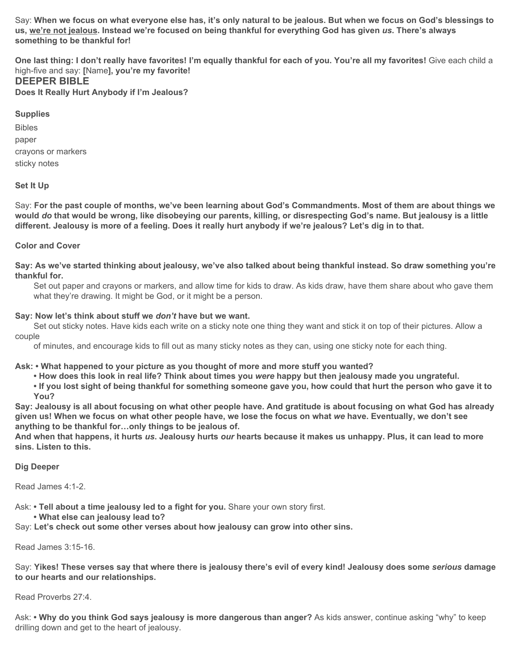Say: When we focus on what everyone else has, it's only natural to be jealous. But when we focus on God's blessings to us, we're not jealous. Instead we're focused on being thankful for everything God has given us. There's always **something to be thankful for!**

One last thing: I don't really have favorites! I'm equally thankful for each of you. You're all my favorites! Give each child a high-five and say: **[**Name**], you're my favorite!**

## **DEEPER BIBLE**

**Does It Really Hurt Anybody if I'm Jealous?**

# **Supplies**

Bibles paper crayons or markers sticky notes

# **Set It Up**

Say: For the past couple of months, we've been learning about God's Commandments. Most of them are about things we would do that would be wrong, like disobeying our parents, killing, or disrespecting God's name. But jealousy is a little different. Jealousy is more of a feeling. Does it really hurt anybody if we're jealous? Let's dig in to that.

## **Color and Cover**

Say: As we've started thinking about jealousy, we've also talked about being thankful instead. So draw something you're **thankful for.**

Set out paper and crayons or markers, and allow time for kids to draw. As kids draw, have them share about who gave them what they're drawing. It might be God, or it might be a person.

### **Say: Now let's think about stuff we** *don't* **have but we want.**

Set out sticky notes. Have kids each write on a sticky note one thing they want and stick it on top of their pictures. Allow a couple

of minutes, and encourage kids to fill out as many sticky notes as they can, using one sticky note for each thing.

### **Ask: • What happened to your picture as you thought of more and more stuff you wanted?**

. How does this look in real life? Think about times you were happy but then jealousy made you ungrateful.

. If you lost sight of being thankful for something someone gave you, how could that hurt the person who gave it to **You?**

Say: Jealousy is all about focusing on what other people have. And gratitude is about focusing on what God has already given us! When we focus on what other people have, we lose the focus on what we have. Eventually, we don't see **anything to be thankful for…only things to be jealous of.**

And when that happens, it hurts us. Jealousy hurts our hearts because it makes us unhappy. Plus, it can lead to more **sins. Listen to this.**

### **Dig Deeper**

Read James 4:1-2.

Ask: **• Tell about a time jealousy led to a fight for you.** Share your own story first.

**• What else can jealousy lead to?**

Say: **Let's check out some other verses about how jealousy can grow into other sins.**

Read James 3:15-16.

Say: Yikes! These verses say that where there is jealousy there's evil of every kind! Jealousy does some serious damage **to our hearts and our relationships.**

Read Proverbs 27:4.

Ask: **• Why do you think God says jealousy is more dangerous than anger?** As kids answer, continue asking "why" to keep drilling down and get to the heart of jealousy.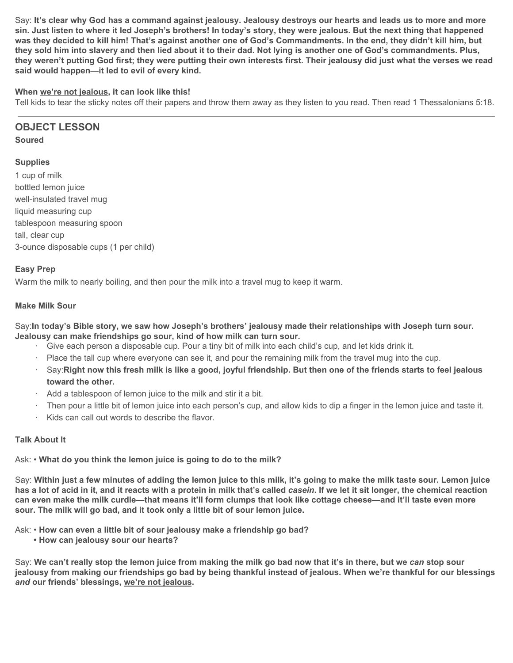Say: It's clear why God has a command against jealousy. Jealousy destroys our hearts and leads us to more and more sin. Just listen to where it led Joseph's brothers! In today's story, they were jealous. But the next thing that happened was they decided to kill him! That's against another one of God's Commandments. In the end, they didn't kill him, but they sold him into slavery and then lied about it to their dad. Not lying is another one of God's commandments. Plus, they weren't putting God first; they were putting their own interests first. Their jealousy did just what the verses we read **said would happen—it led to evil of every kind.**

### **When we're not jealous, it can look like this!**

Tell kids to tear the sticky notes off their papers and throw them away as they listen to you read. Then read 1 Thessalonians 5:18.

# **OBJECT LESSON**

### **Soured**

# **Supplies**

1 cup of milk bottled lemon juice well-insulated travel mug liquid measuring cup tablespoon measuring spoon tall, clear cup 3-ounce disposable cups (1 per child)

### **Easy Prep**

Warm the milk to nearly boiling, and then pour the milk into a travel mug to keep it warm.

### **Make Milk Sour**

Say: In today's Bible story, we saw how Joseph's brothers' jealousy made their relationships with Joseph turn sour. **Jealousy can make friendships go sour, kind of how milk can turn sour.**

- · Give each person a disposable cup. Pour a tiny bit of milk into each child's cup, and let kids drink it.
- Place the tall cup where everyone can see it, and pour the remaining milk from the travel mug into the cup.
- Say: Right now this fresh milk is like a good, joyful friendship. But then one of the friends starts to feel jealous **toward the other.**
- · Add a tablespoon of lemon juice to the milk and stir it a bit.
- Then pour a little bit of lemon juice into each person's cup, and allow kids to dip a finger in the lemon juice and taste it.
- · Kids can call out words to describe the flavor.

### **Talk About It**

Ask: • **What do you think the lemon juice is going to do to the milk?**

Say: Within just a few minutes of adding the lemon juice to this milk, it's going to make the milk taste sour. Lemon juice has a lot of acid in it, and it reacts with a protein in milk that's called casein. If we let it sit longer, the chemical reaction can even make the milk curdle—that means it'll form clumps that look like cottage cheese—and it'll taste even more **sour. The milk will go bad, and it took only a little bit of sour lemon juice.**

Ask: • **How can even a little bit of sour jealousy make a friendship go bad?**

**• How can jealousy sour our hearts?**

Say: We can't really stop the lemon juice from making the milk go bad now that it's in there, but we can stop sour jealousy from making our friendships go bad by being thankful instead of jealous. When we're thankful for our blessings *and* **our friends' blessings, we're not jealous.**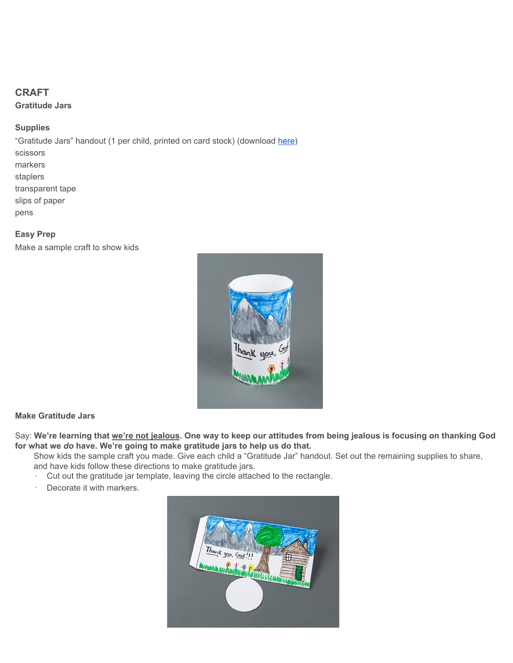# **CRAFT**

**Gratitude Jars**

# **Supplies**

"Gratitude Jars" handout (1 per child, printed on card stock) (download [here\)](https://digin-resources.group.com/media/10700/q2_lesson-09_gratitude-jars_handout.pdf) scissors markers staplers transparent tape slips of paper pens

# **Easy Prep**

Make a sample craft to show kids



# **Make Gratitude Jars**

Say: We're learning that we're not jealous. One way to keep our attitudes from being jealous is focusing on thanking God **for what we** *do* **have. We're going to make gratitude jars to help us do that.**

Show kids the sample craft you made. Give each child a "Gratitude Jar" handout. Set out the remaining supplies to share, and have kids follow these directions to make gratitude jars.

- · Cut out the gratitude jar template, leaving the circle attached to the rectangle.
- · Decorate it with markers.